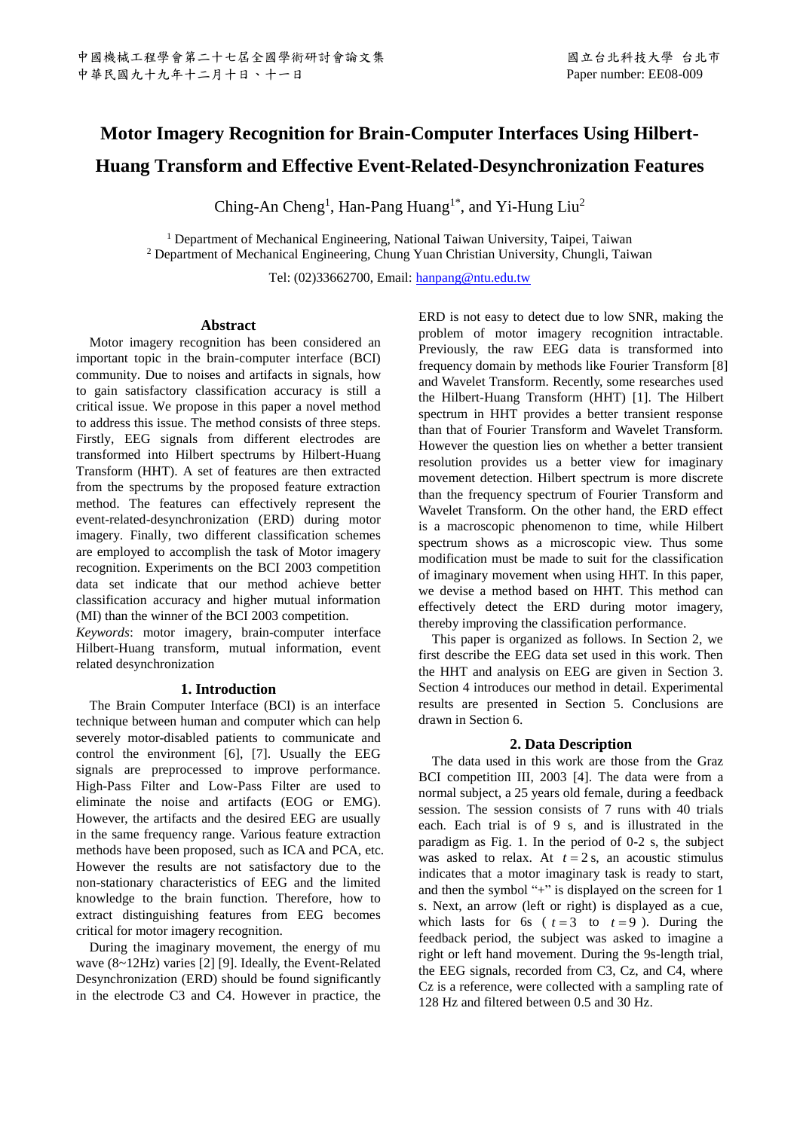# **Motor Imagery Recognition for Brain-Computer Interfaces Using Hilbert-Huang Transform and Effective Event-Related-Desynchronization Features**

Ching-An Cheng<sup>1</sup>, Han-Pang Huang<sup>1\*</sup>, and Yi-Hung Liu<sup>2</sup>

<sup>1</sup> Department of Mechanical Engineering, National Taiwan University, Taipei, Taiwan <sup>2</sup> Department of Mechanical Engineering, Chung Yuan Christian University, Chungli, Taiwan

Tel: (02)33662700, Email: [hanpang@ntu.edu.tw](mailto:hanpang@ntu.edu.tw)

# **Abstract**

Motor imagery recognition has been considered an important topic in the brain-computer interface (BCI) community. Due to noises and artifacts in signals, how to gain satisfactory classification accuracy is still a critical issue. We propose in this paper a novel method to address this issue. The method consists of three steps. Firstly, EEG signals from different electrodes are transformed into Hilbert spectrums by Hilbert-Huang Transform (HHT). A set of features are then extracted from the spectrums by the proposed feature extraction method. The features can effectively represent the event-related-desynchronization (ERD) during motor imagery. Finally, two different classification schemes are employed to accomplish the task of Motor imagery recognition. Experiments on the BCI 2003 competition data set indicate that our method achieve better classification accuracy and higher mutual information (MI) than the winner of the BCI 2003 competition.

*Keywords*: motor imagery, brain-computer interface Hilbert-Huang transform, mutual information, event related desynchronization

# **1. Introduction**

The Brain Computer Interface (BCI) is an interface technique between human and computer which can help severely motor-disabled patients to communicate and control the environment [6], [7]. Usually the EEG signals are preprocessed to improve performance. High-Pass Filter and Low-Pass Filter are used to eliminate the noise and artifacts (EOG or EMG). However, the artifacts and the desired EEG are usually in the same frequency range. Various feature extraction methods have been proposed, such as ICA and PCA, etc. However the results are not satisfactory due to the non-stationary characteristics of EEG and the limited knowledge to the brain function. Therefore, how to extract distinguishing features from EEG becomes critical for motor imagery recognition.

During the imaginary movement, the energy of mu wave (8~12Hz) varies [2] [9]. Ideally, the Event-Related Desynchronization (ERD) should be found significantly in the electrode C3 and C4. However in practice, the ERD is not easy to detect due to low SNR, making the problem of motor imagery recognition intractable. Previously, the raw EEG data is transformed into frequency domain by methods like Fourier Transform [8] and Wavelet Transform. Recently, some researches used the Hilbert-Huang Transform (HHT) [1]. The Hilbert spectrum in HHT provides a better transient response than that of Fourier Transform and Wavelet Transform. However the question lies on whether a better transient resolution provides us a better view for imaginary movement detection. Hilbert spectrum is more discrete than the frequency spectrum of Fourier Transform and Wavelet Transform. On the other hand, the ERD effect is a macroscopic phenomenon to time, while Hilbert spectrum shows as a microscopic view. Thus some modification must be made to suit for the classification of imaginary movement when using HHT. In this paper, we devise a method based on HHT. This method can effectively detect the ERD during motor imagery, thereby improving the classification performance.

This paper is organized as follows. In Section 2, we first describe the EEG data set used in this work. Then the HHT and analysis on EEG are given in Section 3. Section 4 introduces our method in detail. Experimental results are presented in Section 5. Conclusions are drawn in Section 6.

# **2. Data Description**

The data used in this work are those from the Graz BCI competition III, 2003 [4]. The data were from a normal subject, a 25 years old female, during a feedback session. The session consists of 7 runs with 40 trials each. Each trial is of 9 s, and is illustrated in the paradigm as Fig. 1. In the period of 0-2 s, the subject was asked to relax. At  $t = 2$  s, an acoustic stimulus indicates that a motor imaginary task is ready to start, and then the symbol "+" is displayed on the screen for 1 s. Next, an arrow (left or right) is displayed as a cue, which lasts for 6s ( $t = 3$  to  $t = 9$ ). During the feedback period, the subject was asked to imagine a right or left hand movement. During the 9s-length trial, the EEG signals, recorded from C3, Cz, and C4, where Cz is a reference, were collected with a sampling rate of 128 Hz and filtered between 0.5 and 30 Hz.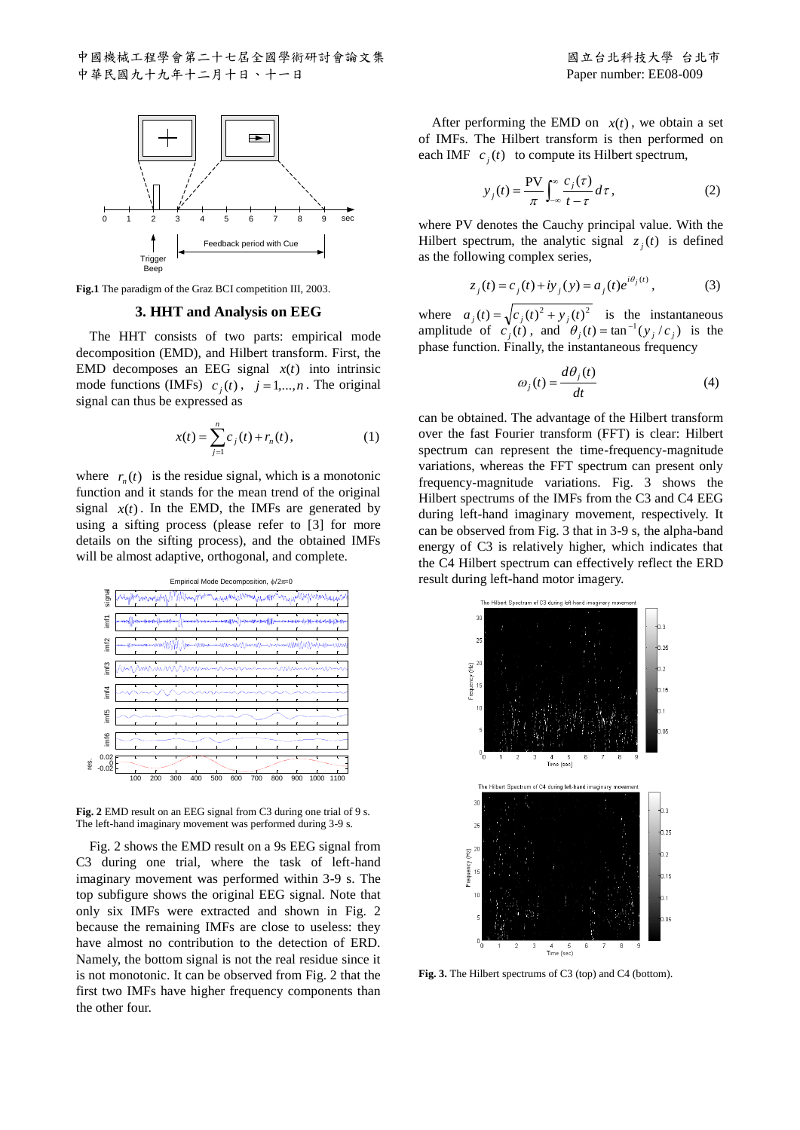

**Fig.1** The paradigm of the Graz BCI competition III, 2003.

#### **3. HHT and Analysis on EEG**

The HHT consists of two parts: empirical mode decomposition (EMD), and Hilbert transform. First, the EMD decomposes an EEG signal  $x(t)$  into intrinsic mode functions (IMFs)  $c_j(t)$ ,  $j = 1,...,n$ . The original signal can thus be expressed as

$$
x(t) = \sum_{j=1}^{n} c_j(t) + r_n(t),
$$
 (1)

where  $r_n(t)$  is the residue signal, which is a monotonic function and it stands for the mean trend of the original signal  $x(t)$ . In the EMD, the IMFs are generated by using a sifting process (please refer to [3] for more details on the sifting process), and the obtained IMFs will be almost adaptive, orthogonal, and complete.



**Fig. 2** EMD result on an EEG signal from C3 during one trial of 9 s. The left-hand imaginary movement was performed during 3-9 s.

Fig. 2 shows the EMD result on a 9s EEG signal from C3 during one trial, where the task of left-hand imaginary movement was performed within 3-9 s. The top subfigure shows the original EEG signal. Note that only six IMFs were extracted and shown in Fig. 2 because the remaining IMFs are close to useless: they have almost no contribution to the detection of ERD. Namely, the bottom signal is not the real residue since it is not monotonic. It can be observed from Fig. 2 that the first two IMFs have higher frequency components than the other four.

After performing the EMD on  $x(t)$ , we obtain a set of IMFs. The Hilbert transform is then performed on each IMF  $c_j(t)$  to compute its Hilbert spectrum,

$$
y_j(t) = \frac{PV}{\pi} \int_{-\infty}^{\infty} \frac{c_j(\tau)}{t - \tau} d\tau, \qquad (2)
$$

where PV denotes the Cauchy principal value. With the Hilbert spectrum, the analytic signal  $z_j(t)$  is defined as the following complex series,

$$
z_j(t) = c_j(t) + iy_j(y) = a_j(t)e^{i\theta_j(t)},
$$
\n(3)

where  $a_j(t) = \sqrt{c_j(t)^2 + y_j(t)^2}$  is the instantaneous amplitude of  $c_j(t)$ , and  $\theta_j(t) = \tan^{-1}(y_j/c_j)$  is the phase function. Finally, the instantaneous frequency

$$
\omega_j(t) = \frac{d\theta_j(t)}{dt} \tag{4}
$$

can be obtained. The advantage of the Hilbert transform over the fast Fourier transform (FFT) is clear: Hilbert spectrum can represent the time-frequency-magnitude variations, whereas the FFT spectrum can present only frequency-magnitude variations. Fig. 3 shows the Hilbert spectrums of the IMFs from the C3 and C4 EEG during left-hand imaginary movement, respectively. It can be observed from Fig. 3 that in 3-9 s, the alpha-band energy of C3 is relatively higher, which indicates that the C4 Hilbert spectrum can effectively reflect the ERD result during left-hand motor imagery.



**Fig. 3.** The Hilbert spectrums of C3 (top) and C4 (bottom).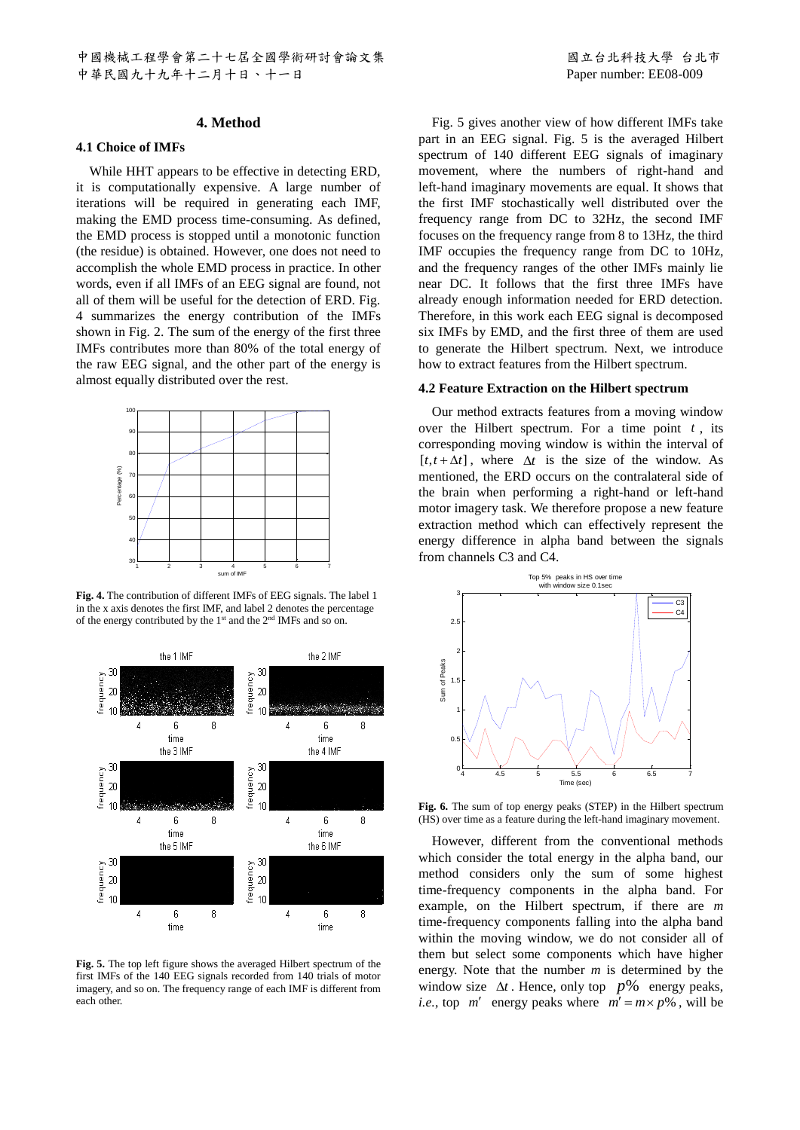# **4. Method**

#### **4.1 Choice of IMFs**

While HHT appears to be effective in detecting ERD, it is computationally expensive. A large number of iterations will be required in generating each IMF, making the EMD process time-consuming. As defined, the EMD process is stopped until a monotonic function (the residue) is obtained. However, one does not need to accomplish the whole EMD process in practice. In other words, even if all IMFs of an EEG signal are found, not all of them will be useful for the detection of ERD. Fig. 4 summarizes the energy contribution of the IMFs shown in Fig. 2. The sum of the energy of the first three IMFs contributes more than 80% of the total energy of the raw EEG signal, and the other part of the energy is almost equally distributed over the rest.



**Fig. 4.** The contribution of different IMFs of EEG signals. The label 1 in the x axis denotes the first IMF, and label 2 denotes the percentage of the energy contributed by the 1<sup>st</sup> and the 2<sup>nd</sup> IMFs and so on.



**Fig. 5.** The top left figure shows the averaged Hilbert spectrum of the first IMFs of the 140 EEG signals recorded from 140 trials of motor imagery, and so on. The frequency range of each IMF is different from each other.

Fig. 5 gives another view of how different IMFs take part in an EEG signal. Fig. 5 is the averaged Hilbert spectrum of 140 different EEG signals of imaginary movement, where the numbers of right-hand and left-hand imaginary movements are equal. It shows that the first IMF stochastically well distributed over the frequency range from DC to 32Hz, the second IMF focuses on the frequency range from 8 to 13Hz, the third IMF occupies the frequency range from DC to 10Hz, and the frequency ranges of the other IMFs mainly lie near DC. It follows that the first three IMFs have already enough information needed for ERD detection. Therefore, in this work each EEG signal is decomposed six IMFs by EMD, and the first three of them are used to generate the Hilbert spectrum. Next, we introduce how to extract features from the Hilbert spectrum.

# **4.2 Feature Extraction on the Hilbert spectrum**

Our method extracts features from a moving window over the Hilbert spectrum. For a time point  $t$ , its corresponding moving window is within the interval of  $[t, t + \Delta t]$ , where  $\Delta t$  is the size of the window. As mentioned, the ERD occurs on the contralateral side of the brain when performing a right-hand or left-hand motor imagery task. We therefore propose a new feature extraction method which can effectively represent the energy difference in alpha band between the signals from channels C3 and C4.



**Fig. 6.** The sum of top energy peaks (STEP) in the Hilbert spectrum (HS) over time as a feature during the left-hand imaginary movement.

However, different from the conventional methods which consider the total energy in the alpha band, our method considers only the sum of some highest time-frequency components in the alpha band. For example, on the Hilbert spectrum, if there are *m* time-frequency components falling into the alpha band within the moving window, we do not consider all of them but select some components which have higher energy. Note that the number *m* is determined by the window size  $\Delta t$ . Hence, only top  $p$ % energy peaks, *i.e.*, top  $m'$  energy peaks where  $m' = m \times p$ %, will be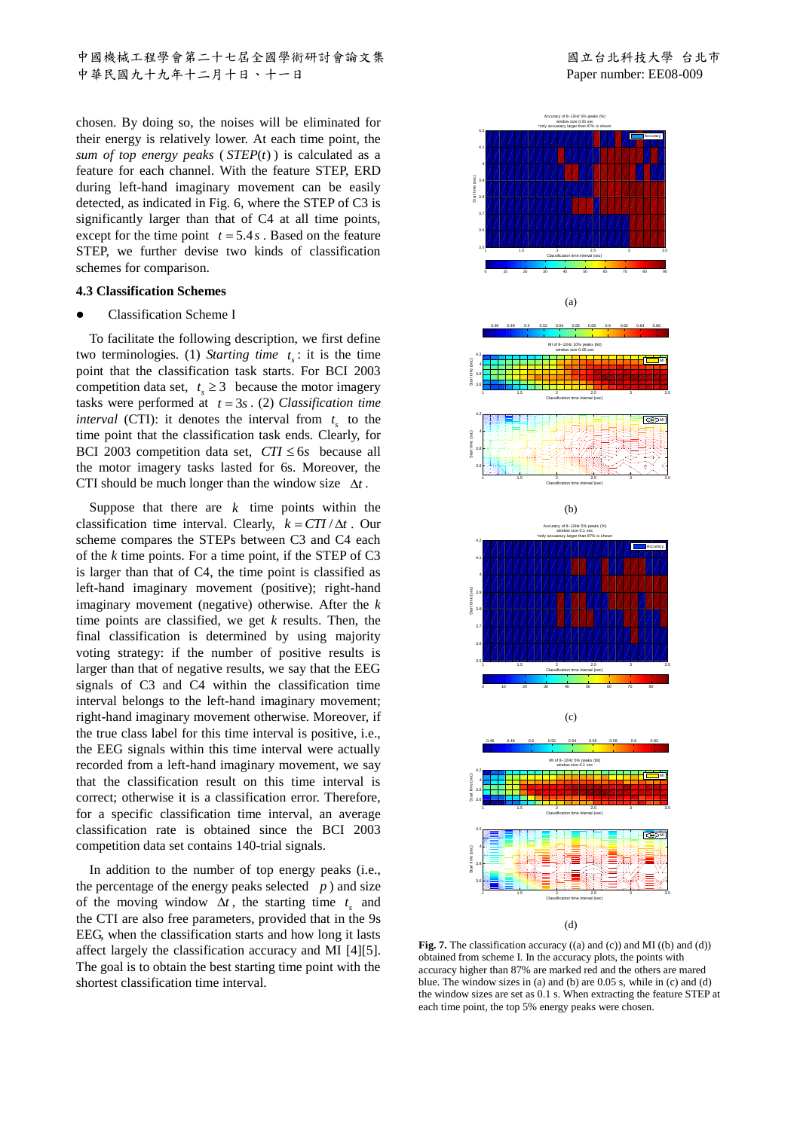中國機械工程學會第二十七屆全國學術研討會論文集 2000年 - 2000年 - 2000 國立台北科技大學 台北市 中華民國九十九年十二月十日、十一日 Paper number: EE08-009

chosen. By doing so, the noises will be eliminated for their energy is relatively lower. At each time point, the *sum of top energy peaks* ( *STEP*(*t*) ) is calculated as a feature for each channel. With the feature STEP, ERD during left-hand imaginary movement can be easily detected, as indicated in Fig. 6, where the STEP of C3 is significantly larger than that of C4 at all time points, except for the time point  $t = 5.4 s$ . Based on the feature STEP, we further devise two kinds of classification schemes for comparison.

# **4.3 Classification Schemes**

#### ⚫ Classification Scheme I

To facilitate the following description, we first define two terminologies. (1) *Starting time*  $t_s$ : it is the time point that the classification task starts. For BCI 2003 competition data set,  $t_s \geq 3$  because the motor imagery tasks were performed at  $t = 3s$ . (2) *Classification time interval* (CTI): it denotes the interval from  $t_s$  to the time point that the classification task ends. Clearly, for BCI 2003 competition data set,  $CTI \leq 6s$  because all the motor imagery tasks lasted for 6s. Moreover, the CTI should be much longer than the window size  $\Delta t$ .

Suppose that there are  $k$  time points within the classification time interval. Clearly,  $k = CTI / \Delta t$ . Our scheme compares the STEPs between C3 and C4 each of the *k* time points. For a time point, if the STEP of C3 is larger than that of C4, the time point is classified as left-hand imaginary movement (positive); right-hand imaginary movement (negative) otherwise. After the *k* time points are classified, we get *k* results. Then, the final classification is determined by using majority voting strategy: if the number of positive results is larger than that of negative results, we say that the EEG signals of C3 and C4 within the classification time interval belongs to the left-hand imaginary movement; right-hand imaginary movement otherwise. Moreover, if the true class label for this time interval is positive, i.e., the EEG signals within this time interval were actually recorded from a left-hand imaginary movement, we say that the classification result on this time interval is correct; otherwise it is a classification error. Therefore, for a specific classification time interval, an average classification rate is obtained since the BCI 2003 competition data set contains 140-trial signals.

In addition to the number of top energy peaks (i.e., the percentage of the energy peaks selected  $p$ ) and size of the moving window  $\Delta t$ , the starting time  $t_s$  and the CTI are also free parameters, provided that in the 9s EEG, when the classification starts and how long it lasts affect largely the classification accuracy and MI [4][5]. The goal is to obtain the best starting time point with the shortest classification time interval.



**Fig. 7.** The classification accuracy ((a) and (c)) and MI ((b) and (d)) obtained from scheme I. In the accuracy plots, the points with accuracy higher than 87% are marked red and the others are mared blue. The window sizes in (a) and (b) are 0.05 s, while in (c) and (d) the window sizes are set as 0.1 s. When extracting the feature STEP at each time point, the top 5% energy peaks were chosen.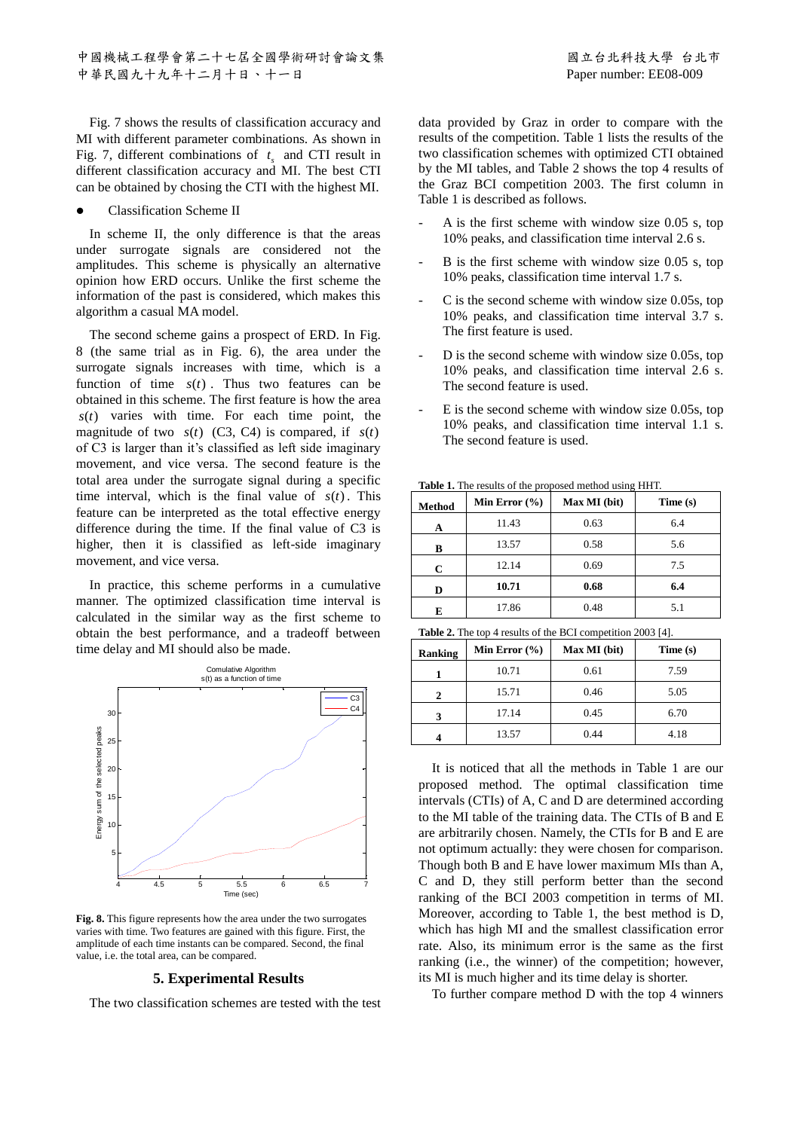Fig. 7 shows the results of classification accuracy and MI with different parameter combinations. As shown in Fig. 7, different combinations of  $t_s$  and CTI result in different classification accuracy and MI. The best CTI can be obtained by chosing the CTI with the highest MI.

#### ⚫ Classification Scheme II

In scheme II, the only difference is that the areas under surrogate signals are considered not the amplitudes. This scheme is physically an alternative opinion how ERD occurs. Unlike the first scheme the information of the past is considered, which makes this algorithm a casual MA model.

The second scheme gains a prospect of ERD. In Fig. 8 (the same trial as in Fig. 6), the area under the surrogate signals increases with time, which is a function of time  $s(t)$ . Thus two features can be obtained in this scheme. The first feature is how the area *s*(*t*) varies with time. For each time point, the magnitude of two  $s(t)$  (C3, C4) is compared, if  $s(t)$ of C3 is larger than it's classified as left side imaginary movement, and vice versa. The second feature is the total area under the surrogate signal during a specific time interval, which is the final value of  $s(t)$ . This feature can be interpreted as the total effective energy difference during the time. If the final value of C3 is higher, then it is classified as left-side imaginary movement, and vice versa.

In practice, this scheme performs in a cumulative manner. The optimized classification time interval is calculated in the similar way as the first scheme to obtain the best performance, and a tradeoff between time delay and MI should also be made.



**Fig. 8.** This figure represents how the area under the two surrogates varies with time. Two features are gained with this figure. First, the amplitude of each time instants can be compared. Second, the final value, i.e. the total area, can be compared.

#### **5. Experimental Results**

The two classification schemes are tested with the test

data provided by Graz in order to compare with the results of the competition. Table 1 lists the results of the two classification schemes with optimized CTI obtained by the MI tables, and Table 2 shows the top 4 results of the Graz BCI competition 2003. The first column in Table 1 is described as follows.

- A is the first scheme with window size 0.05 s, top 10% peaks, and classification time interval 2.6 s.
- B is the first scheme with window size 0.05 s, top 10% peaks, classification time interval 1.7 s.
- C is the second scheme with window size 0.05s, top 10% peaks, and classification time interval 3.7 s. The first feature is used.
- D is the second scheme with window size 0.05s, top 10% peaks, and classification time interval 2.6 s. The second feature is used.
- $E$  is the second scheme with window size 0.05s, top 10% peaks, and classification time interval 1.1 s. The second feature is used.

| <b>Table 1.</b> The results of the proposed method using HHT. |                   |              |          |  |  |
|---------------------------------------------------------------|-------------------|--------------|----------|--|--|
| <b>Method</b>                                                 | Min Error $(\% )$ | Max MI (bit) | Time (s) |  |  |

| <b>Method</b> | Min Error $(\%)$ | Max MI (bit) | Time (s) |
|---------------|------------------|--------------|----------|
| A             | 11.43            | 0.63         | 6.4      |
| в             | 13.57            | 0.58         | 5.6      |
| C             | 12.14            | 0.69         | 7.5      |
| D             | 10.71            | 0.68         | 6.4      |
| E             | 17.86            | 0.48         | 5.1      |

**Table 2.** The top 4 results of the BCI competition 2003 [4].

| Ranking | Min Error $(\% )$ | Max MI (bit) | Time(s) |
|---------|-------------------|--------------|---------|
|         | 10.71             | 0.61         | 7.59    |
| 2       | 15.71             | 0.46         | 5.05    |
| 3       | 17.14             | 0.45         | 6.70    |
|         | 13.57             | 0.44         | 4.18    |

It is noticed that all the methods in Table 1 are our proposed method. The optimal classification time intervals (CTIs) of A, C and D are determined according to the MI table of the training data. The CTIs of B and E are arbitrarily chosen. Namely, the CTIs for B and E are not optimum actually: they were chosen for comparison. Though both B and E have lower maximum MIs than A, C and D, they still perform better than the second ranking of the BCI 2003 competition in terms of MI. Moreover, according to Table 1, the best method is D, which has high MI and the smallest classification error rate. Also, its minimum error is the same as the first ranking (i.e., the winner) of the competition; however, its MI is much higher and its time delay is shorter.

To further compare method D with the top 4 winners